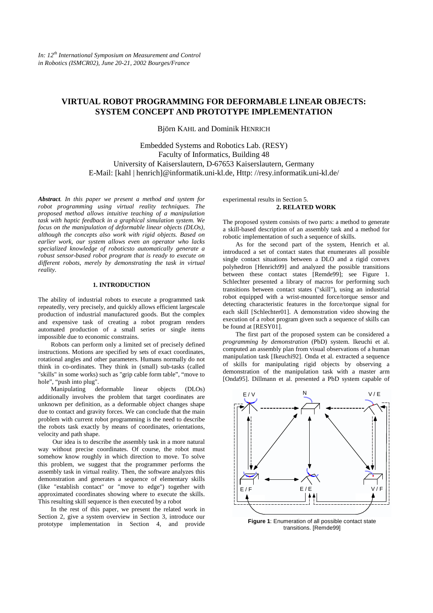# **VIRTUAL ROBOT PROGRAMMING FOR DEFORMABLE LINEAR OBJECTS: SYSTEM CONCEPT AND PROTOTYPE IMPLEMENTATION**

Björn KAHL and Dominik HENRICH

Embedded Systems and Robotics Lab. (RESY) Faculty of Informatics, Building 48 University of Kaiserslautern, D-67653 Kaiserslautern, Germany E-Mail: [kahl | henrich]@informatik.uni-kl.de, Http: //resy.informatik.uni-kl.de/

*Abstract. In this paper we present a method and system for robot programming using virtual reality techniques. The proposed method allows intuitive teaching of a manipulation task with haptic feedback in a graphical simulation system. We focus on the manipulation of deformable linear objects (DLOs), although the concepts also work with rigid objects. Based on earlier work, our system allows even an operator who lacks specialized knowledge of roboticsto automatically generate a robust sensor-based robot program that is ready to execute on different robots, merely by demonstrating the task in virtual reality.* 

## **1. INTRODUCTION**

The ability of industrial robots to execute a programmed task repeatedly, very precisely, and quickly allows efficient largescale production of industrial manufactured goods. But the complex and expensive task of creating a robot program renders automated production of a small series or single items impossible due to economic constrains.

Robots can perform only a limited set of precisely defined instructions. Motions are specified by sets of exact coordinates, rotational angles and other parameters. Humans normally do not think in co-ordinates. They think in (small) sub-tasks (called "skills" in some works) such as "grip cable form table", "move to hole", "push into plug".

Manipulating deformable linear objects (DLOs) additionally involves the problem that target coordinates are unknown per definition, as a deformable object changes shape due to contact and gravity forces. We can conclude that the main problem with current robot programming is the need to describe the robots task exactly by means of coordinates, orientations, velocity and path shape.

 Our idea is to describe the assembly task in a more natural way without precise coordinates. Of course, the robot must somehow know roughly in which direction to move. To solve this problem, we suggest that the programmer performs the assembly task in virtual reality. Then, the software analyzes this demonstration and generates a sequence of elementary skills (like "establish contact" or "move to edge") together with approximated coordinates showing where to execute the skills. This resulting skill sequence is then executed by a robot

In the rest of this paper, we present the related work in Section 2, give a system overview in Section 3, introduce our prototype implementation in Section 4, and provide

experimental results in Section 5. **2. RELATED WORK** 

The proposed system consists of two parts: a method to generate a skill-based description of an assembly task and a method for robotic implementation of such a sequence of skills.

As for the second part of the system, Henrich et al. introduced a set of contact states that enumerates all possible single contact situations between a DLO and a rigid convex polyhedron [Henrich99] and analyzed the possible transitions between these contact states [Remde99]; see Figure 1. Schlechter presented a library of macros for performing such transitions between contact states ("skill"), using an industrial robot equipped with a wrist-mounted force/torque sensor and detecting characteristic features in the force/torque signal for each skill [Schlechter01]. A demonstration video showing the execution of a robot program given such a sequence of skills can be found at [RESY01].

The first part of the proposed system can be considered a *programming by demonstration* (PbD) system. Ikeuchi et al. computed an assembly plan from visual observations of a human manipulation task [Ikeuchi92]. Onda et al. extracted a sequence of skills for manipulating rigid objects by observing a demonstration of the manipulation task with a master arm [Onda95]. Dillmann et al. presented a PbD system capable of



**Figure 1**: Enumeration of all possible contact state transitions. [Remde99]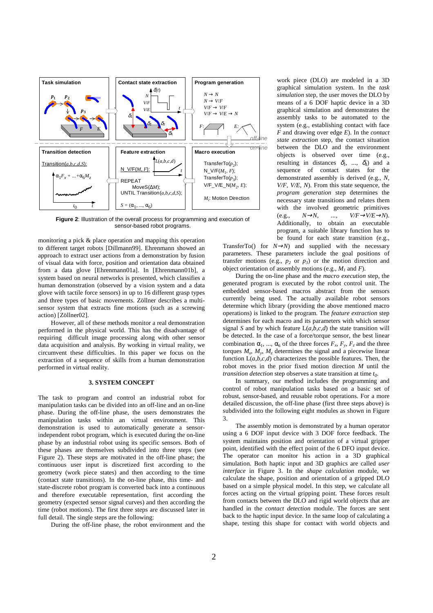

**Figure 2**: Illustration of the overall process for programming and execution of sensor-based robot programs.

monitoring a pick & place operation and mapping this operation to different target robots [Dillmann99]. Ehrenmann showed an approach to extract user actions from a demonstration by fusion of visual data with force, position and orientation data obtained from a data glove [Ehrenmann01a]. In [Ehrenmann01b], a system based on neural networks is presented, which classifies a human demonstration (observed by a vision system and a data glove with tactile force sensors) in up to 16 different grasp types and three types of basic movements. Zöllner describes a multisensor system that extracts fine motions (such as a screwing action) [Zöllner02].

However, all of these methods monitor a real demonstration performed in the physical world. This has the disadvantage of requiring difficult image processing along with other sensor data acquisition and analysis. By working in virtual reality, we circumvent these difficulties. In this paper we focus on the extraction of a sequence of skills from a human demonstration performed in virtual reality.

### **3. SYSTEM CONCEPT**

The task to program and control an industrial robot for manipulation tasks can be divided into an off-line and an on-line phase. During the off-line phase, the users demonstrates the manipulation tasks within an virtual environment. This demonstration is used to automatically generate a sensorindependent robot program, which is executed during the on-line phase by an industrial robot using its specific sensors. Both of these phases are themselves subdivided into three steps (see Figure 2). These steps are motivated in the off-line phase; the continuous user input is discretized first according to the geometry (work piece states) and then according to the time (contact state transitions). In the on-line phase, this time- and state-discrete robot program is converted back into a continuous and therefore executable representation, first according the geometry (expected sensor signal curves) and then according the time (robot motions). The first three steps are discussed later in full detail. The single steps are the following:

During the off-line phase, the robot environment and the

work piece (DLO) are modeled in a 3D graphical simulation system. In the *task simulation* step, the user moves the DLO by means of a 6 DOF haptic device in a 3D graphical simulation and demonstrates the assembly tasks to be automated to the system (e.g., establishing contact with face *F* and drawing over edge *E*). In the *contact state extraction* step, the contact situation between the DLO and the environment objects is observed over time (e.g., resulting in distances  $\delta_l$ , ...,  $\delta_d$ ) and a sequence of contact states for the demonstrated assembly is derived (e.g., *N, V/F, V/E, N*). From this state sequence, the *program generation* step determines the necessary state transitions and relates them with the involved geometric primitives (e.g., *N*→*N, ..., V/F*→*V/E*→*N*). Additionally, to obtain an executable program, a suitable library function has to be found for each state transition (e.g.,

TransferTo() for  $N \rightarrow N$ ) and supplied with the necessary parameters. These parameters include the goal positions of transfer motions (e.g.,  $p_2$  or  $p_3$ ) or the motion direction and object orientation of assembly motions (e.g., *M1* and *F*).

During the on-line phase and the *macro execution* step, the generated program is executed by the robot control unit. The embedded sensor-based macros abstract from the sensors currently being used. The actually available robot sensors determine which library (providing the above mentioned macro operations) is linked to the program. The *feature extraction* step determines for each macro and its parameters with which sensor signal *S* and by which feature  $L(a,b,c,d)$  the state transition will be detected. In the case of a force/torque sensor, the best linear combination  $\alpha_1$ , ...,  $\alpha_6$  of the three forces  $F_x$ ,  $F_y$ ,  $F_z$  and the three torques  $M_x$ ,  $M_y$ ,  $M_z$  determines the signal and a piecewise linear function L(*a,b,c,d*) characterizes the possible features. Then, the robot moves in the prior fixed motion direction *M* until the *transition detection* step observes a state transition at time  $t_0$ .

In summary, our method includes the programming and control of robot manipulation tasks based on a basic set of robust, sensor-based, and reusable robot operations. For a more detailed discussion, the off-line phase (first three steps above) is subdivided into the following eight modules as shown in Figure 3.

The assembly motion is demonstrated by a human operator using a 6 DOF input device with 3 DOF force feedback. The system maintains position and orientation of a virtual gripper point, identified with the effect point of the 6 DFO input device. The operator can monitor his action in a 3D graphical simulation. Both haptic input and 3D graphics are called *user interface* in Figure 3. In the *shape calculation* module, we calculate the shape, position and orientation of a gripped DLO based on a simple physical model. In this step, we calculate all forces acting on the virtual gripping point. These forces result from contacts between the DLO and rigid world objects that are handled in the *contact detection* module. The forces are sent back to the haptic input device. In the same loop of calculating a shape, testing this shape for contact with world objects and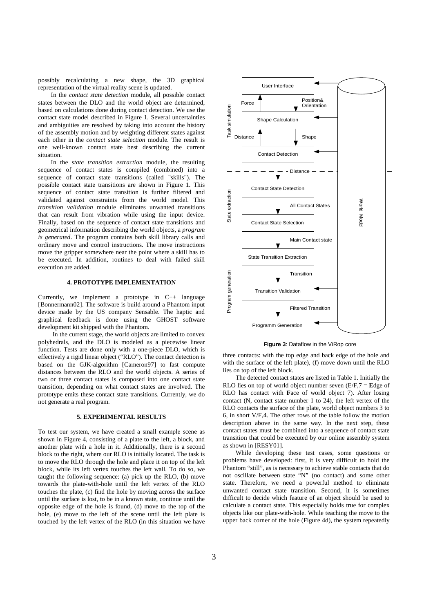possibly recalculating a new shape, the 3D graphical representation of the virtual reality scene is updated.

In the *contact state detection* module, all possible contact states between the DLO and the world object are determined, based on calculations done during contact detection. We use the contact state model described in Figure 1. Several uncertainties and ambiguities are resolved by taking into account the history of the assembly motion and by weighting different states against each other in the *contact state selection* module. The result is one well-known contact state best describing the current situation.

In the *state transition extraction* module, the resulting sequence of contact states is compiled (combined) into a sequence of contact state transitions (called "skills"). The possible contact state transitions are shown in Figure 1. This sequence of contact state transition is further filtered and validated against constraints from the world model. This *transition validation* module eliminates unwanted transitions that can result from vibration while using the input device. Finally, based on the sequence of contact state transitions and geometrical information describing the world objects, a *program is generated*. The program contains both skill library calls and ordinary move and control instructions. The move instructions move the gripper somewhere near the point where a skill has to be executed. In addition, routines to deal with failed skill execution are added.

#### **4. PROTOTYPE IMPLEMENTATION**

Currently, we implement a prototype in C++ language [Bonnermann02]. The software is build around a Phantom input device made by the US company Sensable. The haptic and graphical feedback is done using the GHOST software development kit shipped with the Phantom.

 In the current stage, the world objects are limited to convex polyhedrals, and the DLO is modeled as a piecewise linear function. Tests are done only with a one-piece DLO, which is effectively a rigid linear object ("RLO"). The contact detection is based on the GJK-algorithm [Cameron97] to fast compute distances between the RLO and the world objects. A series of two or three contact states is composed into one contact state transition, depending on what contact states are involved. The prototype emits these contact state transitions. Currently, we do not generate a real program.

#### **5. EXPERIMENTAL RESULTS**

To test our system, we have created a small example scene as shown in Figure 4, consisting of a plate to the left, a block, and another plate with a hole in it. Additionally, there is a second block to the right, where our RLO is initially located. The task is to move the RLO through the hole and place it on top of the left block, while its left vertex touches the left wall. To do so, we taught the following sequence: (a) pick up the RLO, (b) move towards the plate-with-hole until the left vertex of the RLO touches the plate, (c) find the hole by moving across the surface until the surface is lost, to be in a known state, continue until the opposite edge of the hole is found, (d) move to the top of the hole, (e) move to the left of the scene until the left plate is touched by the left vertex of the RLO (in this situation we have



**Figure 3**: Dataflow in the ViRop core

three contacts: with the top edge and back edge of the hole and with the surface of the left plate), (f) move down until the RLO lies on top of the left block.

The detected contact states are listed in Table 1. Initially the RLO lies on top of world object number seven (E/F,7 = **E**dge of RLO has contact with **F**ace of world object 7). After losing contact (N, contact state number 1 to 24), the left vertex of the RLO contacts the surface of the plate, world object numbers 3 to 6, in short V/F,4. The other rows of the table follow the motion description above in the same way. In the next step, these contact states must be combined into a sequence of contact state transition that could be executed by our online assembly system as shown in [RESY01].

While developing these test cases, some questions or problems have developed: first, it is very difficult to hold the Phantom "still", as is necessary to achieve stable contacts that do not oscillate between state "N" (no contact) and some other state. Therefore, we need a powerful method to eliminate unwanted contact state transition. Second, it is sometimes difficult to decide which feature of an object should be used to calculate a contact state. This especially holds true for complex objects like our plate-with-hole. While teaching the move to the upper back corner of the hole (Figure 4d), the system repeatedly